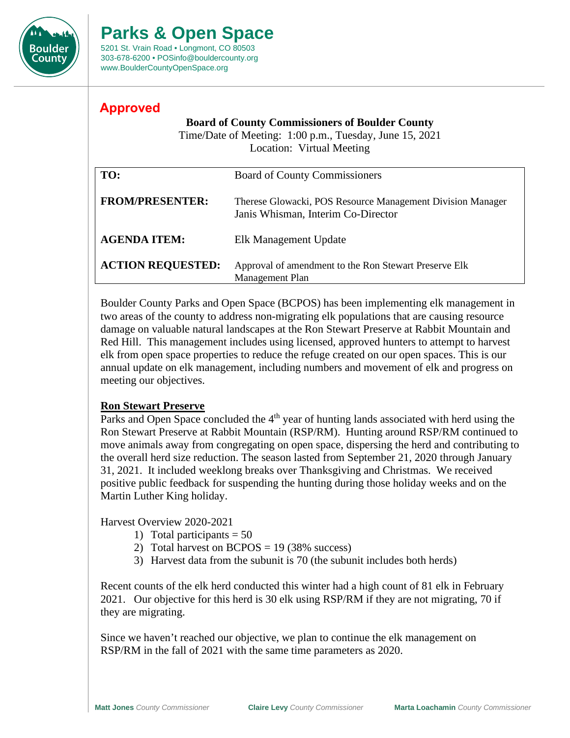

# **Parks & Open Space**

5201 St. Vrain Road • Longmont, CO 80503 303-678-6200 • POSinfo@bouldercounty.org www.BoulderCountyOpenSpace.org

# **Approved**

#### **Board of County Commissioners of Boulder County**

Time/Date of Meeting: 1:00 p.m., Tuesday, June 15, 2021 Location: Virtual Meeting

| TO:                      | <b>Board of County Commissioners</b>                                                             |
|--------------------------|--------------------------------------------------------------------------------------------------|
| <b>FROM/PRESENTER:</b>   | Therese Glowacki, POS Resource Management Division Manager<br>Janis Whisman, Interim Co-Director |
| <b>AGENDA ITEM:</b>      | Elk Management Update                                                                            |
| <b>ACTION REQUESTED:</b> | Approval of amendment to the Ron Stewart Preserve Elk<br>Management Plan                         |

Boulder County Parks and Open Space (BCPOS) has been implementing elk management in two areas of the county to address non-migrating elk populations that are causing resource damage on valuable natural landscapes at the Ron Stewart Preserve at Rabbit Mountain and Red Hill. This management includes using licensed, approved hunters to attempt to harvest elk from open space properties to reduce the refuge created on our open spaces. This is our annual update on elk management, including numbers and movement of elk and progress on meeting our objectives.

## **Ron Stewart Preserve**

Parks and Open Space concluded the  $4<sup>th</sup>$  year of hunting lands associated with herd using the Ron Stewart Preserve at Rabbit Mountain (RSP/RM). Hunting around RSP/RM continued to move animals away from congregating on open space, dispersing the herd and contributing to the overall herd size reduction. The season lasted from September 21, 2020 through January 31, 2021. It included weeklong breaks over Thanksgiving and Christmas. We received positive public feedback for suspending the hunting during those holiday weeks and on the Martin Luther King holiday.

Harvest Overview 2020-2021

- 1) Total participants  $= 50$
- 2) Total harvest on  $BCPOS = 19 (38\%$  success)
- 3) Harvest data from the subunit is 70 (the subunit includes both herds)

Recent counts of the elk herd conducted this winter had a high count of 81 elk in February 2021. Our objective for this herd is 30 elk using RSP/RM if they are not migrating, 70 if they are migrating.

Since we haven't reached our objective, we plan to continue the elk management on RSP/RM in the fall of 2021 with the same time parameters as 2020.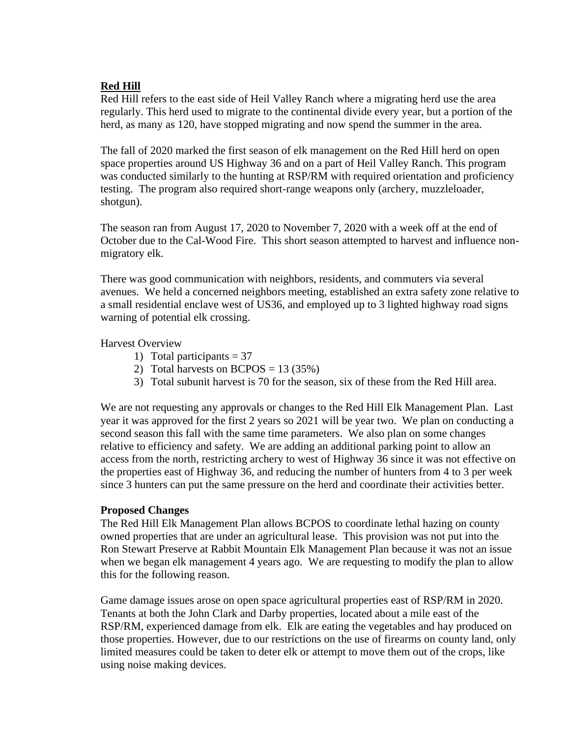#### **Red Hill**

Red Hill refers to the east side of Heil Valley Ranch where a migrating herd use the area regularly. This herd used to migrate to the continental divide every year, but a portion of the herd, as many as 120, have stopped migrating and now spend the summer in the area.

The fall of 2020 marked the first season of elk management on the Red Hill herd on open space properties around US Highway 36 and on a part of Heil Valley Ranch. This program was conducted similarly to the hunting at RSP/RM with required orientation and proficiency testing. The program also required short-range weapons only (archery, muzzleloader, shotgun).

The season ran from August 17, 2020 to November 7, 2020 with a week off at the end of October due to the Cal-Wood Fire. This short season attempted to harvest and influence nonmigratory elk.

There was good communication with neighbors, residents, and commuters via several avenues. We held a concerned neighbors meeting, established an extra safety zone relative to a small residential enclave west of US36, and employed up to 3 lighted highway road signs warning of potential elk crossing.

Harvest Overview

- 1) Total participants  $= 37$
- 2) Total harvests on  $BCPOS = 13 (35%)$
- 3) Total subunit harvest is 70 for the season, six of these from the Red Hill area.

We are not requesting any approvals or changes to the Red Hill Elk Management Plan. Last year it was approved for the first 2 years so 2021 will be year two. We plan on conducting a second season this fall with the same time parameters. We also plan on some changes relative to efficiency and safety. We are adding an additional parking point to allow an access from the north, restricting archery to west of Highway 36 since it was not effective on the properties east of Highway 36, and reducing the number of hunters from 4 to 3 per week since 3 hunters can put the same pressure on the herd and coordinate their activities better.

#### **Proposed Changes**

The Red Hill Elk Management Plan allows BCPOS to coordinate lethal hazing on county owned properties that are under an agricultural lease. This provision was not put into the Ron Stewart Preserve at Rabbit Mountain Elk Management Plan because it was not an issue when we began elk management 4 years ago. We are requesting to modify the plan to allow this for the following reason.

Game damage issues arose on open space agricultural properties east of RSP/RM in 2020. Tenants at both the John Clark and Darby properties, located about a mile east of the RSP/RM, experienced damage from elk. Elk are eating the vegetables and hay produced on those properties. However, due to our restrictions on the use of firearms on county land, only limited measures could be taken to deter elk or attempt to move them out of the crops, like using noise making devices.